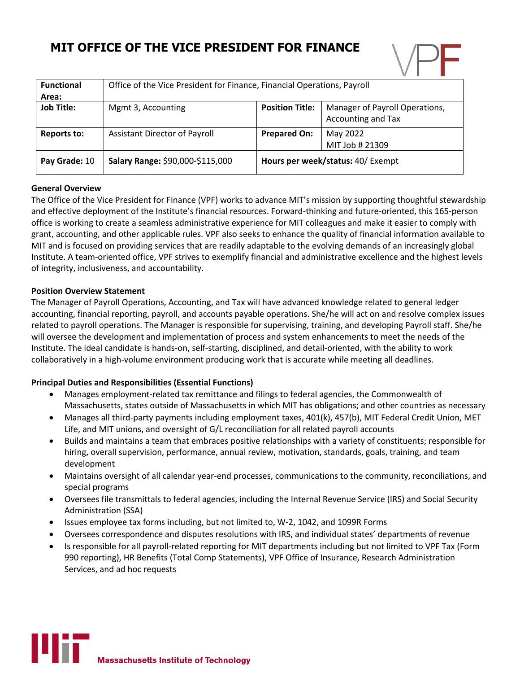# **MIT OFFICE OF THE VICE PRESIDENT FOR FINANCE**



| <b>Functional</b>  | Office of the Vice President for Finance, Financial Operations, Payroll |                                   |                                                      |
|--------------------|-------------------------------------------------------------------------|-----------------------------------|------------------------------------------------------|
| Area:              |                                                                         |                                   |                                                      |
| <b>Job Title:</b>  | Mgmt 3, Accounting                                                      | <b>Position Title:</b>            | Manager of Payroll Operations,<br>Accounting and Tax |
| <b>Reports to:</b> | Assistant Director of Payroll                                           | <b>Prepared On:</b>               | May 2022                                             |
|                    |                                                                         |                                   | MIT Job # 21309                                      |
| Pay Grade: 10      | Salary Range: \$90,000-\$115,000                                        | Hours per week/status: 40/ Exempt |                                                      |

## **General Overview**

The Office of the Vice President for Finance (VPF) works to advance MIT's mission by supporting thoughtful stewardship and effective deployment of the Institute's financial resources. Forward-thinking and future-oriented, this 165-person office is working to create a seamless administrative experience for MIT colleagues and make it easier to comply with grant, accounting, and other applicable rules. VPF also seeks to enhance the quality of financial information available to MIT and is focused on providing services that are readily adaptable to the evolving demands of an increasingly global Institute. A team-oriented office, VPF strives to exemplify financial and administrative excellence and the highest levels of integrity, inclusiveness, and accountability.

#### **Position Overview Statement**

The Manager of Payroll Operations, Accounting, and Tax will have advanced knowledge related to general ledger accounting, financial reporting, payroll, and accounts payable operations. She/he will act on and resolve complex issues related to payroll operations. The Manager is responsible for supervising, training, and developing Payroll staff. She/he will oversee the development and implementation of process and system enhancements to meet the needs of the Institute. The ideal candidate is hands-on, self-starting, disciplined, and detail-oriented, with the ability to work collaboratively in a high-volume environment producing work that is accurate while meeting all deadlines.

## **Principal Duties and Responsibilities (Essential Functions)**

- Manages employment-related tax remittance and filings to federal agencies, the Commonwealth of Massachusetts, states outside of Massachusetts in which MIT has obligations; and other countries as necessary
- Manages all third-party payments including employment taxes, 401(k), 457(b), MIT Federal Credit Union, MET Life, and MIT unions, and oversight of G/L reconciliation for all related payroll accounts
- Builds and maintains a team that embraces positive relationships with a variety of constituents; responsible for hiring, overall supervision, performance, annual review, motivation, standards, goals, training, and team development
- Maintains oversight of all calendar year-end processes, communications to the community, reconciliations, and special programs
- Oversees file transmittals to federal agencies, including the Internal Revenue Service (IRS) and Social Security Administration (SSA)
- Issues employee tax forms including, but not limited to, W-2, 1042, and 1099R Forms
- Oversees correspondence and disputes resolutions with IRS, and individual states' departments of revenue
- Is responsible for all payroll-related reporting for MIT departments including but not limited to VPF Tax (Form 990 reporting), HR Benefits (Total Comp Statements), VPF Office of Insurance, Research Administration Services, and ad hoc requests

Uif **Massachusetts Institute of Technology**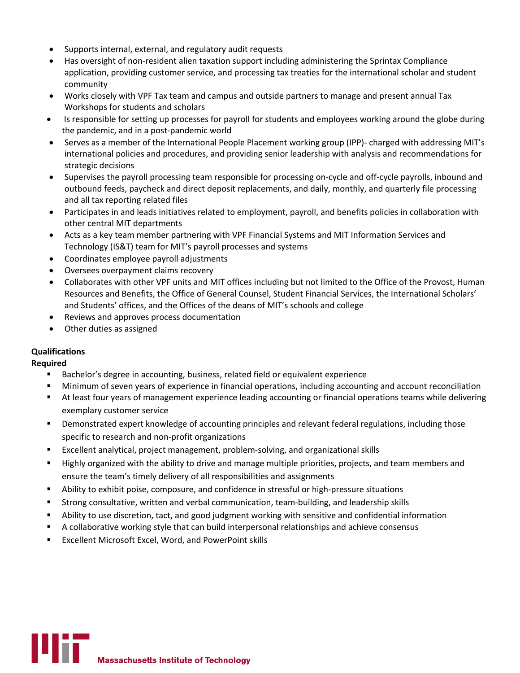- Supports internal, external, and regulatory audit requests
- Has oversight of non-resident alien taxation support including administering the Sprintax Compliance application, providing customer service, and processing tax treaties for the international scholar and student community
- Works closely with VPF Tax team and campus and outside partners to manage and present annual Tax Workshops for students and scholars
- Is responsible for setting up processes for payroll for students and employees working around the globe during the pandemic, and in a post-pandemic world
- Serves as a member of the International People Placement working group (IPP)- charged with addressing MIT's international policies and procedures, and providing senior leadership with analysis and recommendations for strategic decisions
- Supervises the payroll processing team responsible for processing on-cycle and off-cycle payrolls, inbound and outbound feeds, paycheck and direct deposit replacements, and daily, monthly, and quarterly file processing and all tax reporting related files
- Participates in and leads initiatives related to employment, payroll, and benefits policies in collaboration with other central MIT departments
- Acts as a key team member partnering with VPF Financial Systems and MIT Information Services and Technology (IS&T) team for MIT's payroll processes and systems
- Coordinates employee payroll adjustments
- Oversees overpayment claims recovery
- Collaborates with other VPF units and MIT offices including but not limited to the Office of the Provost, Human Resources and Benefits, the Office of General Counsel, Student Financial Services, the International Scholars' and Students' offices, and the Offices of the deans of MIT's schools and college
- Reviews and approves process documentation
- Other duties as assigned

## **Qualifications**

**Required**

- Bachelor's degree in accounting, business, related field or equivalent experience
- § Minimum of seven years of experience in financial operations, including accounting and account reconciliation
- § At least four years of management experience leading accounting or financial operations teams while delivering exemplary customer service
- Demonstrated expert knowledge of accounting principles and relevant federal regulations, including those specific to research and non-profit organizations
- Excellent analytical, project management, problem-solving, and organizational skills
- § Highly organized with the ability to drive and manage multiple priorities, projects, and team members and ensure the team's timely delivery of all responsibilities and assignments
- **•** Ability to exhibit poise, composure, and confidence in stressful or high-pressure situations
- § Strong consultative, written and verbal communication, team-building, and leadership skills
- Ability to use discretion, tact, and good judgment working with sensitive and confidential information
- A collaborative working style that can build interpersonal relationships and achieve consensus
- § Excellent Microsoft Excel, Word, and PowerPoint skills

**Massachusetts Institute of Technology**